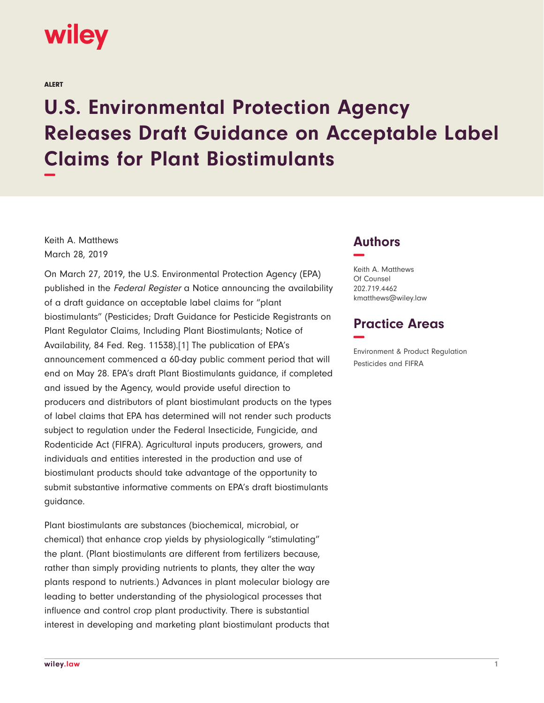

ALERT

## **U.S. Environmental Protection Agency Releases Draft Guidance on Acceptable Label Claims for Plant Biostimulants −**

Keith A. Matthews March 28, 2019

On March 27, 2019, the U.S. Environmental Protection Agency (EPA) published in the Federal Register a Notice announcing the availability of a draft guidance on acceptable label claims for "plant biostimulants" (Pesticides; Draft Guidance for Pesticide Registrants on Plant Regulator Claims, Including Plant Biostimulants; Notice of Availability, 84 Fed. Reg. 11538).[1] The publication of EPA's announcement commenced a 60-day public comment period that will end on May 28. EPA's draft Plant Biostimulants guidance, if completed and issued by the Agency, would provide useful direction to producers and distributors of plant biostimulant products on the types of label claims that EPA has determined will not render such products subject to regulation under the Federal Insecticide, Fungicide, and Rodenticide Act (FIFRA). Agricultural inputs producers, growers, and individuals and entities interested in the production and use of biostimulant products should take advantage of the opportunity to submit substantive informative comments on EPA's draft biostimulants guidance.

Plant biostimulants are substances (biochemical, microbial, or chemical) that enhance crop yields by physiologically "stimulating" the plant. (Plant biostimulants are different from fertilizers because, rather than simply providing nutrients to plants, they alter the way plants respond to nutrients.) Advances in plant molecular biology are leading to better understanding of the physiological processes that influence and control crop plant productivity. There is substantial interest in developing and marketing plant biostimulant products that

## **Authors −**

Keith A. Matthews Of Counsel 202.719.4462 kmatthews@wiley.law

## **Practice Areas −**

Environment & Product Regulation Pesticides and FIFRA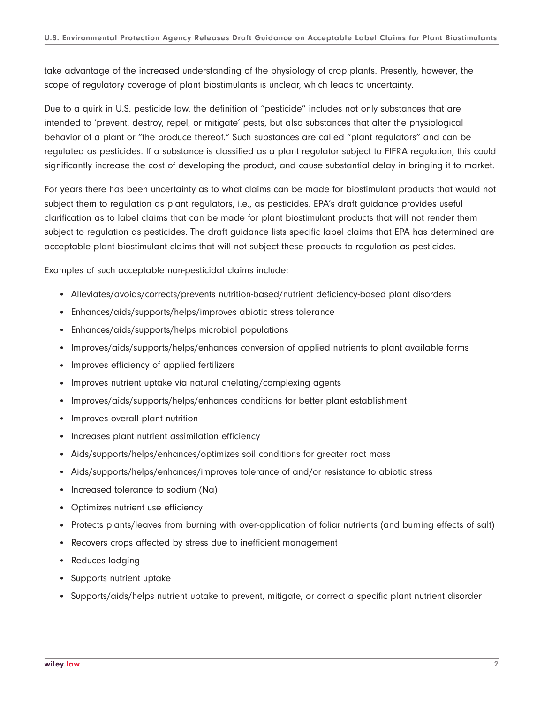take advantage of the increased understanding of the physiology of crop plants. Presently, however, the scope of regulatory coverage of plant biostimulants is unclear, which leads to uncertainty.

Due to a quirk in U.S. pesticide law, the definition of "pesticide" includes not only substances that are intended to 'prevent, destroy, repel, or mitigate' pests, but also substances that alter the physiological behavior of a plant or "the produce thereof." Such substances are called "plant regulators" and can be regulated as pesticides. If a substance is classified as a plant regulator subject to FIFRA regulation, this could significantly increase the cost of developing the product, and cause substantial delay in bringing it to market.

For years there has been uncertainty as to what claims can be made for biostimulant products that would not subject them to regulation as plant regulators, i.e., as pesticides. EPA's draft guidance provides useful clarification as to label claims that can be made for plant biostimulant products that will not render them subject to regulation as pesticides. The draft guidance lists specific label claims that EPA has determined are acceptable plant biostimulant claims that will not subject these products to regulation as pesticides.

Examples of such acceptable non-pesticidal claims include:

- Alleviates/avoids/corrects/prevents nutrition-based/nutrient deficiency-based plant disorders
- Enhances/aids/supports/helps/improves abiotic stress tolerance
- Enhances/aids/supports/helps microbial populations
- Improves/aids/supports/helps/enhances conversion of applied nutrients to plant available forms
- Improves efficiency of applied fertilizers
- Improves nutrient uptake via natural chelating/complexing agents
- Improves/aids/supports/helps/enhances conditions for better plant establishment
- Improves overall plant nutrition
- Increases plant nutrient assimilation efficiency
- Aids/supports/helps/enhances/optimizes soil conditions for greater root mass
- Aids/supports/helps/enhances/improves tolerance of and/or resistance to abiotic stress
- Increased tolerance to sodium (Na)
- Optimizes nutrient use efficiency
- Protects plants/leaves from burning with over-application of foliar nutrients (and burning effects of salt)
- Recovers crops affected by stress due to inefficient management
- Reduces lodging
- Supports nutrient uptake
- Supports/aids/helps nutrient uptake to prevent, mitigate, or correct a specific plant nutrient disorder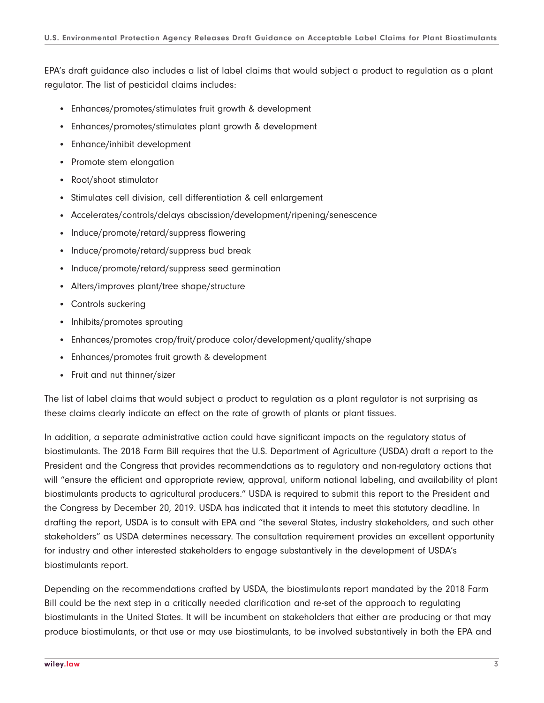EPA's draft guidance also includes a list of label claims that would subject a product to regulation as a plant regulator. The list of pesticidal claims includes:

- Enhances/promotes/stimulates fruit growth & development
- Enhances/promotes/stimulates plant growth & development
- Enhance/inhibit development
- Promote stem elongation
- Root/shoot stimulator
- Stimulates cell division, cell differentiation & cell enlargement
- Accelerates/controls/delays abscission/development/ripening/senescence
- Induce/promote/retard/suppress flowering
- Induce/promote/retard/suppress bud break
- Induce/promote/retard/suppress seed germination
- Alters/improves plant/tree shape/structure
- Controls suckering
- Inhibits/promotes sprouting
- Enhances/promotes crop/fruit/produce color/development/quality/shape
- Enhances/promotes fruit growth & development
- Fruit and nut thinner/sizer

The list of label claims that would subject a product to regulation as a plant regulator is not surprising as these claims clearly indicate an effect on the rate of growth of plants or plant tissues.

In addition, a separate administrative action could have significant impacts on the regulatory status of biostimulants. The 2018 Farm Bill requires that the U.S. Department of Agriculture (USDA) draft a report to the President and the Congress that provides recommendations as to regulatory and non-regulatory actions that will "ensure the efficient and appropriate review, approval, uniform national labeling, and availability of plant biostimulants products to agricultural producers." USDA is required to submit this report to the President and the Congress by December 20, 2019. USDA has indicated that it intends to meet this statutory deadline. In drafting the report, USDA is to consult with EPA and "the several States, industry stakeholders, and such other stakeholders" as USDA determines necessary. The consultation requirement provides an excellent opportunity for industry and other interested stakeholders to engage substantively in the development of USDA's biostimulants report.

Depending on the recommendations crafted by USDA, the biostimulants report mandated by the 2018 Farm Bill could be the next step in a critically needed clarification and re-set of the approach to regulating biostimulants in the United States. It will be incumbent on stakeholders that either are producing or that may produce biostimulants, or that use or may use biostimulants, to be involved substantively in both the EPA and